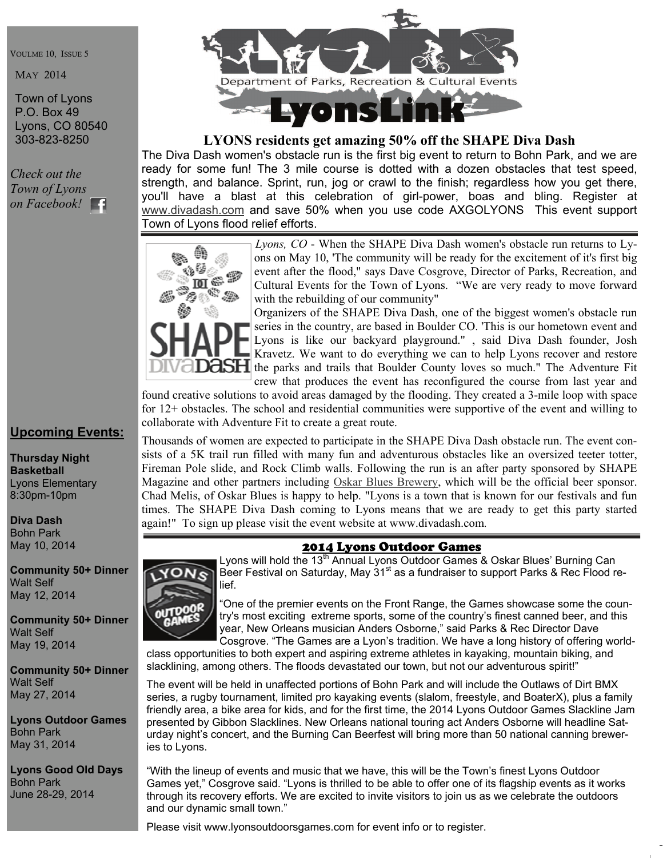VOULME 10, ISSUE 5

MAY 2014

Town of Lyons P.O. Box 49 Lyons, CO 80540 303-823-8250

*Check out the Town of Lyons on Facebook!* 

# **Upcoming Events:**

**Thursday Night Basketball**  Lyons Elementary 8:30pm-10pm

**Diva Dash**  Bohn Park May 10, 2014

**Community 50+ Dinner**  Walt Self May 12, 2014

**Community 50+ Dinner**  Walt Self May 19, 2014

**Community 50+ Dinner**  Walt Self May 27, 2014

**Lyons Outdoor Games**  Bohn Park May 31, 2014

**Lyons Good Old Days**  Bohn Park June 28-29, 2014



# **LYONS residents get amazing 50% off the SHAPE Diva Dash**

The Diva Dash women's obstacle run is the first big event to return to Bohn Park, and we are ready for some fun! The 3 mile course is dotted with a dozen obstacles that test speed, strength, and balance. Sprint, run, jog or crawl to the finish; regardless how you get there, you'll have a blast at this celebration of girl-power, boas and bling. Register at www.divadash.com and save 50% when you use code AXGOLYONS This event support T[own of Lyons flood re](http://www.divadash.com)lief efforts.



*Lyons, CO* - When the SHAPE Diva Dash women's obstacle run returns to Lyons on May 10, 'The community will be ready for the excitement of it's first big event after the flood," says Dave Cosgrove, Director of Parks, Recreation, and Cultural Events for the Town of Lyons. "We are very ready to move forward with the rebuilding of our community"

Organizers of the SHAPE Diva Dash, one of the biggest women's obstacle run series in the country, are based in Boulder CO. 'This is our hometown event and Lyons is like our backyard playground." , said Diva Dash founder, Josh Kravetz. We want to do everything we can to help Lyons recover and restore **CISH** the parks and trails that Boulder County loves so much." The Adventure Fit crew that produces the event has reconfigured the course from last year and

found creative solutions to avoid areas damaged by the flooding. They created a 3-mile loop with space for 12+ obstacles. The school and residential communities were supportive of the event and willing to collaborate with Adventure Fit to create a great route.

Thousands of women are expected to participate in the SHAPE Diva Dash obstacle run. The event consists of a 5K trail run filled with many fun and adventurous obstacles like an oversized teeter totter, Fireman Pole slide, and Rock Climb walls. Following the run is an after party sponsored by SHAPE Magazine and other partners including Oskar Blues Brewery, which will be the official beer sponsor. Chad Melis, of Oskar Blues is happy to h[elp. "Lyons is a town](http://oskarblues.com) that is known for our festivals and fun times. The SHAPE Diva Dash coming to Lyons means that we are ready to get this party started again!" To sign up please visit the event website at www.divadash.com.

# 2014 Lyons Outdoor Games

Lyons will hold the 13<sup>th</sup> Annual Lyons Outdoor Games & Oskar Blues' Burning Can Beer Festival on Saturday, May  $31<sup>st</sup>$  as a fundraiser to support Parks & Rec Flood relief.

"One of the premier events on the Front Range, the Games showcase some the country's most exciting extreme sports, some of the country's finest canned beer, and this year, New Orleans musician Anders Osborne," said Parks & Rec Director Dave Cosgrove. "The Games are a Lyon's tradition. We have a long history of offering world-

class opportunities to both expert and aspiring extreme athletes in kayaking, mountain biking, and slacklining, among others. The floods devastated our town, but not our adventurous spirit!"

The event will be held in unaffected portions of Bohn Park and will include the Outlaws of Dirt BMX series, a rugby tournament, limited pro kayaking events (slalom, freestyle, and BoaterX), plus a family friendly area, a bike area for kids, and for the first time, the 2014 Lyons Outdoor Games Slackline Jam presented by Gibbon Slacklines. New Orleans national touring act Anders Osborne will headline Saturday night's concert, and the Burning Can Beerfest will bring more than 50 national canning breweries to Lyons.

"With the lineup of events and music that we have, this will be the Town's finest Lyons Outdoor Games yet," Cosgrove said. "Lyons is thrilled to be able to offer one of its flagship events as it works through its recovery efforts. We are excited to invite visitors to join us as we celebrate the outdoors and our dynamic small town."

Please visit www.lyonsoutdoorsgames.com for event info or to register.